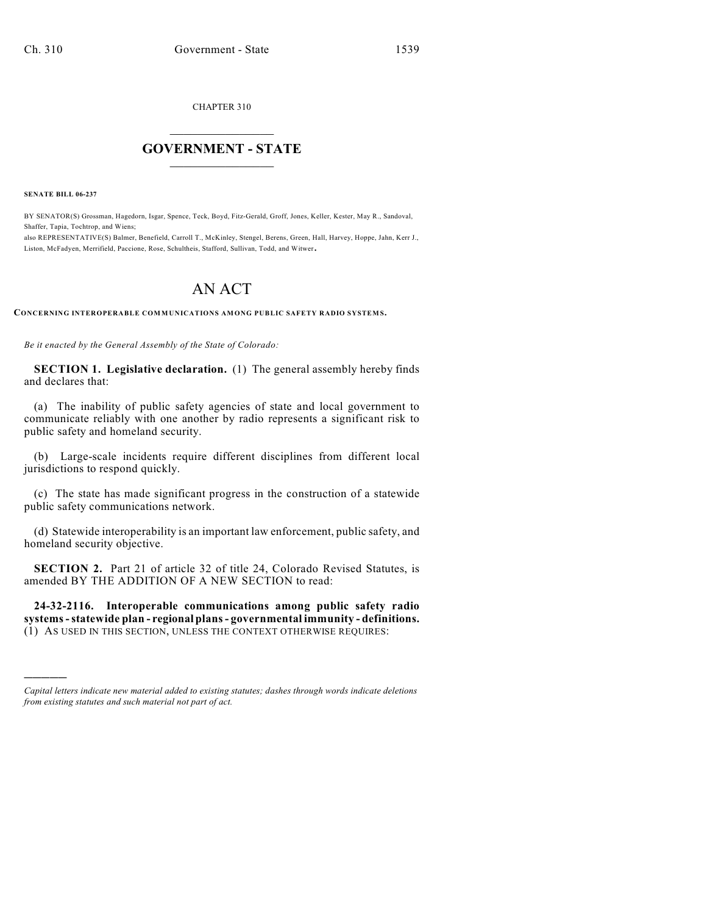CHAPTER 310

## $\overline{\phantom{a}}$  . The set of the set of the set of the set of the set of the set of the set of the set of the set of the set of the set of the set of the set of the set of the set of the set of the set of the set of the set o **GOVERNMENT - STATE**  $\_$

**SENATE BILL 06-237**

)))))

BY SENATOR(S) Grossman, Hagedorn, Isgar, Spence, Teck, Boyd, Fitz-Gerald, Groff, Jones, Keller, Kester, May R., Sandoval, Shaffer, Tapia, Tochtrop, and Wiens;

also REPRESENTATIVE(S) Balmer, Benefield, Carroll T., McKinley, Stengel, Berens, Green, Hall, Harvey, Hoppe, Jahn, Kerr J., Liston, McFadyen, Merrifield, Paccione, Rose, Schultheis, Stafford, Sullivan, Todd, and Witwer.

## AN ACT

CONCERNING INTEROPERABLE COMMUNICATIONS AMONG PUBLIC SAFETY RADIO SYSTEMS.

*Be it enacted by the General Assembly of the State of Colorado:*

**SECTION 1. Legislative declaration.** (1) The general assembly hereby finds and declares that:

(a) The inability of public safety agencies of state and local government to communicate reliably with one another by radio represents a significant risk to public safety and homeland security.

(b) Large-scale incidents require different disciplines from different local jurisdictions to respond quickly.

(c) The state has made significant progress in the construction of a statewide public safety communications network.

(d) Statewide interoperability is an important law enforcement, public safety, and homeland security objective.

**SECTION 2.** Part 21 of article 32 of title 24, Colorado Revised Statutes, is amended BY THE ADDITION OF A NEW SECTION to read:

**24-32-2116. Interoperable communications among public safety radio systems - statewide plan - regional plans - governmental immunity - definitions.** (1) AS USED IN THIS SECTION, UNLESS THE CONTEXT OTHERWISE REQUIRES:

*Capital letters indicate new material added to existing statutes; dashes through words indicate deletions from existing statutes and such material not part of act.*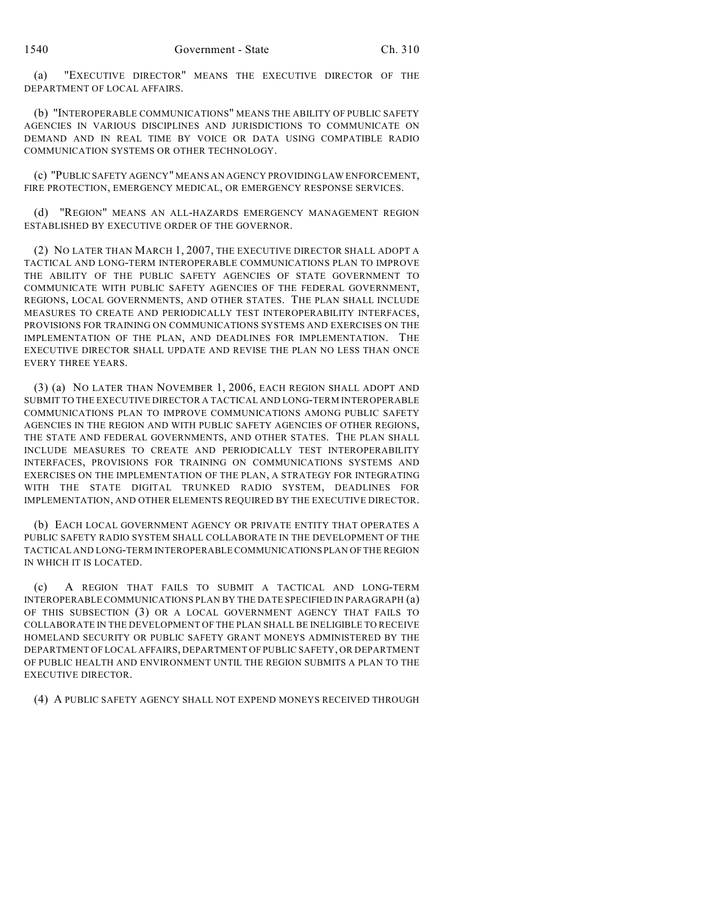(a) "EXECUTIVE DIRECTOR" MEANS THE EXECUTIVE DIRECTOR OF THE DEPARTMENT OF LOCAL AFFAIRS.

(b) "INTEROPERABLE COMMUNICATIONS" MEANS THE ABILITY OF PUBLIC SAFETY AGENCIES IN VARIOUS DISCIPLINES AND JURISDICTIONS TO COMMUNICATE ON DEMAND AND IN REAL TIME BY VOICE OR DATA USING COMPATIBLE RADIO COMMUNICATION SYSTEMS OR OTHER TECHNOLOGY.

(c) "PUBLIC SAFETY AGENCY" MEANS AN AGENCY PROVIDING LAW ENFORCEMENT, FIRE PROTECTION, EMERGENCY MEDICAL, OR EMERGENCY RESPONSE SERVICES.

(d) "REGION" MEANS AN ALL-HAZARDS EMERGENCY MANAGEMENT REGION ESTABLISHED BY EXECUTIVE ORDER OF THE GOVERNOR.

(2) NO LATER THAN MARCH 1, 2007, THE EXECUTIVE DIRECTOR SHALL ADOPT A TACTICAL AND LONG-TERM INTEROPERABLE COMMUNICATIONS PLAN TO IMPROVE THE ABILITY OF THE PUBLIC SAFETY AGENCIES OF STATE GOVERNMENT TO COMMUNICATE WITH PUBLIC SAFETY AGENCIES OF THE FEDERAL GOVERNMENT, REGIONS, LOCAL GOVERNMENTS, AND OTHER STATES. THE PLAN SHALL INCLUDE MEASURES TO CREATE AND PERIODICALLY TEST INTEROPERABILITY INTERFACES, PROVISIONS FOR TRAINING ON COMMUNICATIONS SYSTEMS AND EXERCISES ON THE IMPLEMENTATION OF THE PLAN, AND DEADLINES FOR IMPLEMENTATION. THE EXECUTIVE DIRECTOR SHALL UPDATE AND REVISE THE PLAN NO LESS THAN ONCE EVERY THREE YEARS.

(3) (a) NO LATER THAN NOVEMBER 1, 2006, EACH REGION SHALL ADOPT AND SUBMIT TO THE EXECUTIVE DIRECTOR A TACTICAL AND LONG-TERM INTEROPERABLE COMMUNICATIONS PLAN TO IMPROVE COMMUNICATIONS AMONG PUBLIC SAFETY AGENCIES IN THE REGION AND WITH PUBLIC SAFETY AGENCIES OF OTHER REGIONS, THE STATE AND FEDERAL GOVERNMENTS, AND OTHER STATES. THE PLAN SHALL INCLUDE MEASURES TO CREATE AND PERIODICALLY TEST INTEROPERABILITY INTERFACES, PROVISIONS FOR TRAINING ON COMMUNICATIONS SYSTEMS AND EXERCISES ON THE IMPLEMENTATION OF THE PLAN, A STRATEGY FOR INTEGRATING WITH THE STATE DIGITAL TRUNKED RADIO SYSTEM, DEADLINES FOR IMPLEMENTATION, AND OTHER ELEMENTS REQUIRED BY THE EXECUTIVE DIRECTOR.

(b) EACH LOCAL GOVERNMENT AGENCY OR PRIVATE ENTITY THAT OPERATES A PUBLIC SAFETY RADIO SYSTEM SHALL COLLABORATE IN THE DEVELOPMENT OF THE TACTICAL AND LONG-TERM INTEROPERABLE COMMUNICATIONS PLAN OF THE REGION IN WHICH IT IS LOCATED.

(c) A REGION THAT FAILS TO SUBMIT A TACTICAL AND LONG-TERM INTEROPERABLE COMMUNICATIONS PLAN BY THE DATE SPECIFIED IN PARAGRAPH (a) OF THIS SUBSECTION (3) OR A LOCAL GOVERNMENT AGENCY THAT FAILS TO COLLABORATE IN THE DEVELOPMENT OF THE PLAN SHALL BE INELIGIBLE TO RECEIVE HOMELAND SECURITY OR PUBLIC SAFETY GRANT MONEYS ADMINISTERED BY THE DEPARTMENT OF LOCAL AFFAIRS, DEPARTMENT OF PUBLIC SAFETY, OR DEPARTMENT OF PUBLIC HEALTH AND ENVIRONMENT UNTIL THE REGION SUBMITS A PLAN TO THE EXECUTIVE DIRECTOR.

(4) A PUBLIC SAFETY AGENCY SHALL NOT EXPEND MONEYS RECEIVED THROUGH